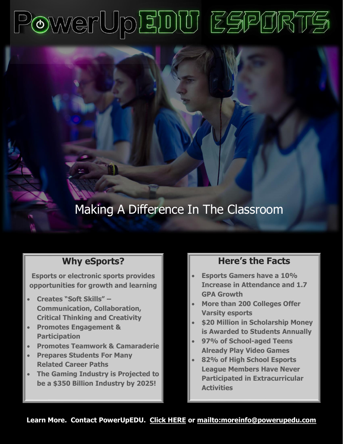# PowerUpEDU ESPORTS

# Making A Difference In The Classroom

### **Why eSports?**

**Esports or electronic sports provides opportunities for growth and learning**

- **Creates "Soft Skills" – Communication, Collaboration, Critical Thinking and Creativity**
- **Promotes Engagement & Participation**
- **Promotes Teamwork & Camaraderie**
- **Prepares Students For Many Related Career Paths**
- **The Gaming Industry is Projected to be a \$350 Billion Industry by 2025!**

### **Here's the Facts**

- **Esports Gamers have a 10% Increase in Attendance and 1.7 GPA Growth**
- **More than 200 Colleges Offer Varsity esports**
- **\$20 Million in Scholarship Money is Awarded to Students Annually**
- **97% of School-aged Teens Already Play Video Games**
- **82% of High School Esports League Members Have Never Participated in Extracurricular Activities**

**Learn More. Contact PowerUpED[U. Click HERE](https://powerupedu.com/contact-us/) or<mailto:moreinfo@powerupedu.com>**